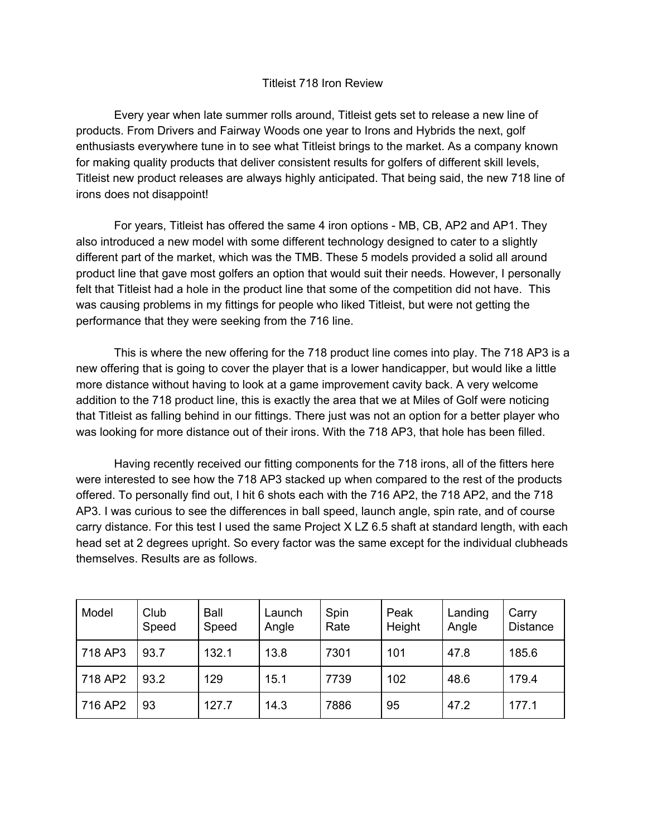## Titleist 718 Iron Review

Every year when late summer rolls around, Titleist gets set to release a new line of products. From Drivers and Fairway Woods one year to Irons and Hybrids the next, golf enthusiasts everywhere tune in to see what Titleist brings to the market. As a company known for making quality products that deliver consistent results for golfers of different skill levels, Titleist new product releases are always highly anticipated. That being said, the new 718 line of irons does not disappoint!

For years, Titleist has offered the same 4 iron options - MB, CB, AP2 and AP1. They also introduced a new model with some different technology designed to cater to a slightly different part of the market, which was the TMB. These 5 models provided a solid all around product line that gave most golfers an option that would suit their needs. However, I personally felt that Titleist had a hole in the product line that some of the competition did not have. This was causing problems in my fittings for people who liked Titleist, but were not getting the performance that they were seeking from the 716 line.

This is where the new offering for the 718 product line comes into play. The 718 AP3 is a new offering that is going to cover the player that is a lower handicapper, but would like a little more distance without having to look at a game improvement cavity back. A very welcome addition to the 718 product line, this is exactly the area that we at Miles of Golf were noticing that Titleist as falling behind in our fittings. There just was not an option for a better player who was looking for more distance out of their irons. With the 718 AP3, that hole has been filled.

Having recently received our fitting components for the 718 irons, all of the fitters here were interested to see how the 718 AP3 stacked up when compared to the rest of the products offered. To personally find out, I hit 6 shots each with the 716 AP2, the 718 AP2, and the 718 AP3. I was curious to see the differences in ball speed, launch angle, spin rate, and of course carry distance. For this test I used the same Project X LZ 6.5 shaft at standard length, with each head set at 2 degrees upright. So every factor was the same except for the individual clubheads themselves. Results are as follows.

| Model   | Club<br>Speed | Ball<br>Speed | Launch<br>Angle | Spin<br>Rate | Peak<br>Height | Landing<br>Angle | Carry<br><b>Distance</b> |
|---------|---------------|---------------|-----------------|--------------|----------------|------------------|--------------------------|
| 718 AP3 | 93.7          | 132.1         | 13.8            | 7301         | 101            | 47.8             | 185.6                    |
| 718 AP2 | 93.2          | 129           | 15.1            | 7739         | 102            | 48.6             | 179.4                    |
| 716 AP2 | 93            | 127.7         | 14.3            | 7886         | 95             | 47.2             | 177.1                    |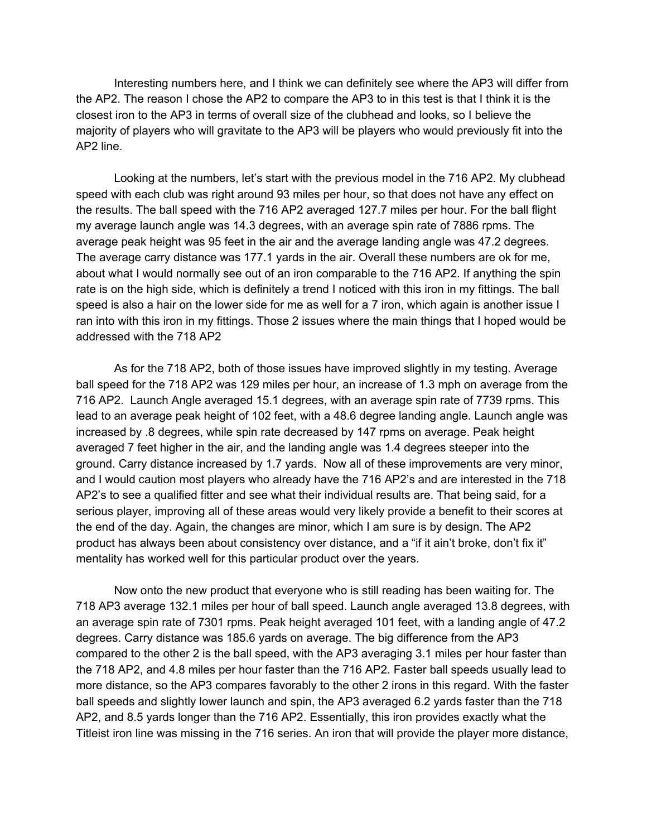Interesting numbers here, and I think we can definitely see where the AP3 will differ from the AP2. The reason I chose the AP2 to compare the AP3 to in this test is that I think it is the closest iron to the AP3 in terms of overall size of the clubhead and looks, so I believe the majority of players who will gravitate to the AP3 will be players who would previously fit into the AP2 line.

Looking at the numbers, let's start with the previous model in the 716 AP2. My clubhead speed with each club was right around 93 miles per hour, so that does not have any effect on the results. The ball speed with the 716 AP2 averaged 127.7 miles per hour. For the ball flight my average launch angle was 14.3 degrees, with an average spin rate of 7886 rpms. The average peak height was 95 feet in the air and the average landing angle was 47.2 degrees. The average carry distance was 177.1 yards in the air. Overall these numbers are ok for me, about what I would normally see out of an iron comparable to the 716 AP2. If anything the spin rate is on the high side, which is definitely a trend I noticed with this iron in my fittings. The ball speed is also a hair on the lower side for me as well for a 7 iron, which again is another issue I ran into with this iron in my fittings. Those 2 issues where the main things that I hoped would be addressed with the 718 AP2

As for the 718 AP2, both of those issues have improved slightly in my testing. Average ball speed for the 718 AP2 was 129 miles per hour, an increase of 1.3 mph on average from the 716 AP2. Launch Angle averaged 15.1 degrees, with an average spin rate of 7739 rpms. This lead to an average peak height of 102 feet, with a 48.6 degree landing angle. Launch angle was increased by .8 degrees, while spin rate decreased by 147 rpms on average. Peak height averaged 7 feet higher in the air, and the landing angle was 1.4 degrees steeper into the ground. Carry distance increased by 1.7 yards. Now all of these improvements are very minor, and I would caution most players who already have the 716 AP2's and are interested in the 718 AP2's to see a qualified fitter and see what their individual results are. That being said, for a serious player, improving all of these areas would very likely provide a benefit to their scores at the end of the day. Again, the changes are minor, which I am sure is by design. The AP2 product has always been about consistency over distance, and a "if it ain't broke, don't fix it" mentality has worked well for this particular product over the years.

Now onto the new product that everyone who is still reading has been waiting for. The 718 AP3 average 132.1 miles per hour of ball speed. Launch angle averaged 13.8 degrees, with an average spin rate of 7301 rpms. Peak height averaged 101 feet, with a landing angle of 47.2 degrees. Carry distance was 185.6 yards on average. The big difference from the AP3 compared to the other 2 is the ball speed, with the AP3 averaging 3.1 miles per hour faster than the 718 AP2, and 4.8 miles per hour faster than the 716 AP2. Faster ball speeds usually lead to more distance, so the AP3 compares favorably to the other 2 irons in this regard. With the faster ball speeds and slightly lower launch and spin, the AP3 averaged 6.2 yards faster than the 718 AP2, and 8.5 yards longer than the 716 AP2. Essentially, this iron provides exactly what the Titleist iron line was missing in the 716 series. An iron that will provide the player more distance,